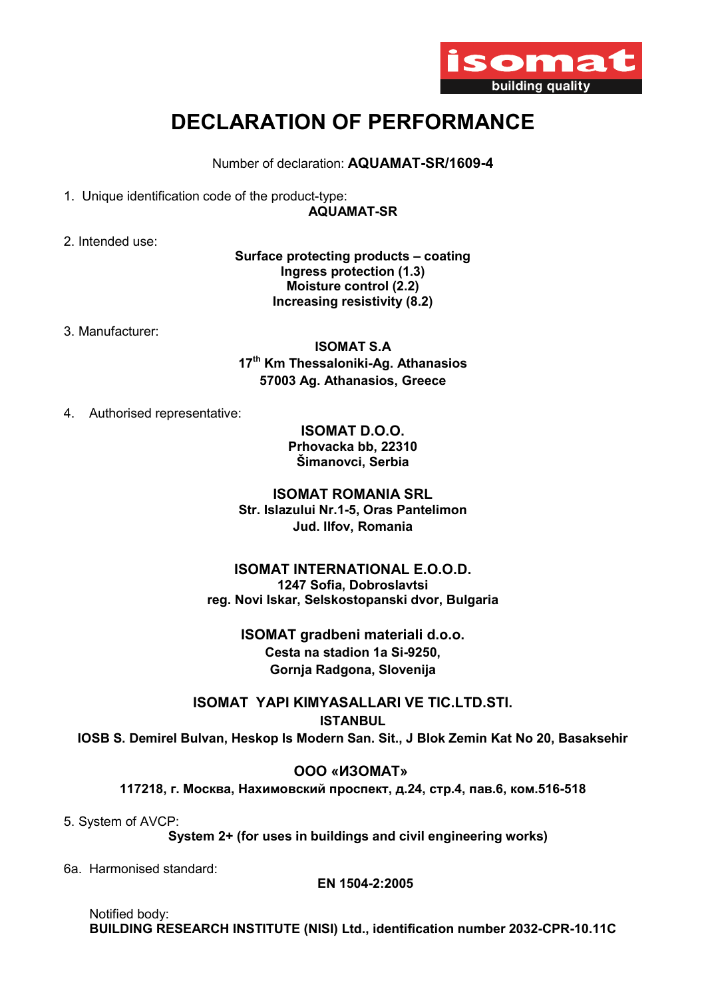

## DECLARATION OF PERFORMANCE

Number of declaration: AQUAMAT-SR/1609-4

1. Unique identification code of the product-type:

AQUAMAT-SR

2. Intended use:

Surface protecting products – coating Ingress protection (1.3) Moisture control (2.2) Increasing resistivity (8.2)

3. Manufacturer:

ISOMAT S.A 17<sup>th</sup> Km Thessaloniki-Ag. Athanasios 57003 Ag. Athanasios, Greece

4. Authorised representative:

ISOMAT D.O.O. Prhovacka bb, 22310 Šimanovci, Serbia

ISOMAT ROMANIA SRL Str. Islazului Nr.1-5, Oras Pantelimon Jud. Ilfov, Romania

## ISOMAT INTERNATIONAL E.O.O.D. 1247 Sofia, Dobroslavtsi reg. Novi Iskar, Selskostopanski dvor, Bulgaria

ΙSOMAT gradbeni materiali d.o.o. Cesta na stadion 1a Si-9250, Gornja Radgona, Slovenija

ISOMAT YAPI KIMYASALLARI VE TIC.LTD.STI. ISTANBUL IOSB S. Demirel Bulvan, Heskop Is Modern San. Sit., J Blok Zemin Kat No 20, Basaksehir

ООО «ИЗОМАТ»

117218, г. Москва, Нахимовский проспект, д.24, стр.4, пав.6, ком.516-518

5. System of AVCP:

System 2+ (for uses in buildings and civil engineering works)

6a. Harmonised standard:

EN 1504-2:2005

 Notified body: BUILDING RESEARCH INSTITUTE (NISI) Ltd., identification number 2032-CPR-10.11C